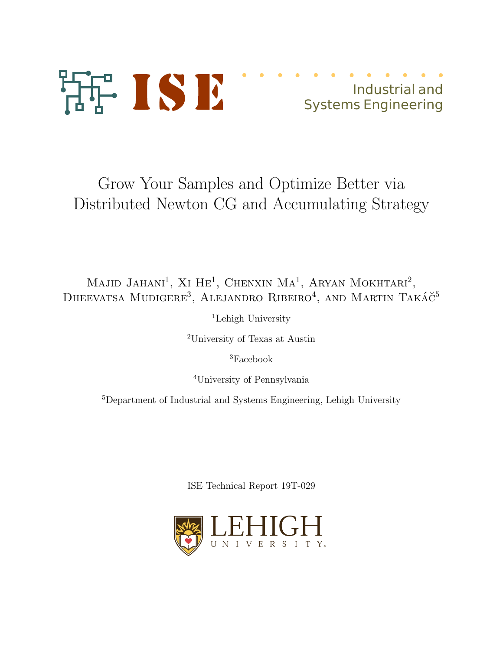

## Industrial and Systems Engineering

# Grow Your Samples and Optimize Better via Distributed Newton CG and Accumulating Strategy

## Majid Jahani<sup>1</sup>, Xi He<sup>1</sup>, Chenxin Ma<sup>1</sup>, Aryan Mokhtari<sup>2</sup>, DHEEVATSA MUDIGERE<sup>3</sup>, ALEJANDRO RIBEIRO<sup>4</sup>, AND MARTIN TAKÁČ<sup>5</sup>

<sup>1</sup>Lehigh University

<sup>2</sup>University of Texas at Austin

<sup>3</sup>Facebook

<sup>4</sup>University of Pennsylvania

<sup>5</sup>Department of Industrial and Systems Engineering, Lehigh University

ISE Technical Report 19T-029

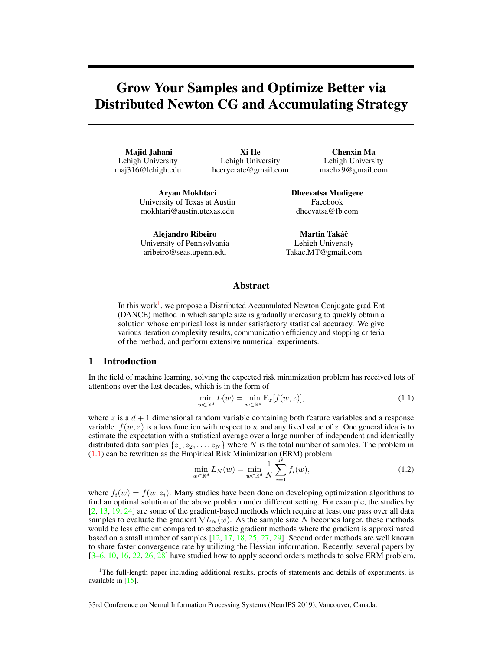### Grow Your Samples and Optimize Better via Distributed Newton CG and Accumulating Strategy

Majid Jahani Lehigh University maj316@lehigh.edu

Xi He Lehigh University heeryerate@gmail.com

Chenxin Ma Lehigh University machx9@gmail.com

Aryan Mokhtari University of Texas at Austin mokhtari@austin.utexas.edu

Alejandro Ribeiro University of Pennsylvania aribeiro@seas.upenn.edu

Dheevatsa Mudigere Facebook dheevatsa@fb.com

Martin Takáč Lehigh University Takac.MT@gmail.com

### Abstract

In this work<sup>1</sup>, we propose a Distributed Accumulated Newton Conjugate gradiEnt (DANCE) method in which sample size is gradually increasing to quickly obtain a solution whose empirical loss is under satisfactory statistical accuracy. We give various iteration complexity results, communication efficiency and stopping criteria of the method, and perform extensive numerical experiments.

#### 1 Introduction

In the field of machine learning, solving the expected risk minimization problem has received lots of attentions over the last decades, which is in the form of

$$
\min_{w \in \mathbb{R}^d} L(w) = \min_{w \in \mathbb{R}^d} \mathbb{E}_z[f(w, z)],\tag{1.1}
$$

where z is a  $d + 1$  dimensional random variable containing both feature variables and a response variable.  $f(w, z)$  is a loss function with respect to w and any fixed value of z. One general idea is to estimate the expectation with a statistical average over a large number of independent and identically distributed data samples  $\{z_1, z_2, \ldots, z_N\}$  where N is the total number of samples. The problem in (1.1) can be rewritten as the Empirical Risk Minimization (ERM) problem

$$
\min_{w \in \mathbb{R}^d} L_N(w) = \min_{w \in \mathbb{R}^d} \frac{1}{N} \sum_{i=1}^N f_i(w), \tag{1.2}
$$

where  $f_i(w) = f(w, z_i)$ . Many studies have been done on developing optimization algorithms to find an optimal solution of the above problem under different setting. For example, the studies by [2, 13, 19, 24] are some of the gradient-based methods which require at least one pass over all data samples to evaluate the gradient  $\nabla L_N(w)$ . As the sample size N becomes larger, these methods would be less efficient compared to stochastic gradient methods where the gradient is approximated based on a small number of samples [12, 17, 18, 25, 27, 29]. Second order methods are well known to share faster convergence rate by utilizing the Hessian information. Recently, several papers by  $[3-6, 10, 16, 22, 26, 28]$  have studied how to apply second orders methods to solve ERM problem.

33rd Conference on Neural Information Processing Systems (NeurIPS 2019), Vancouver, Canada.

<sup>&</sup>lt;sup>1</sup>The full-length paper including additional results, proofs of statements and details of experiments, is available in [15].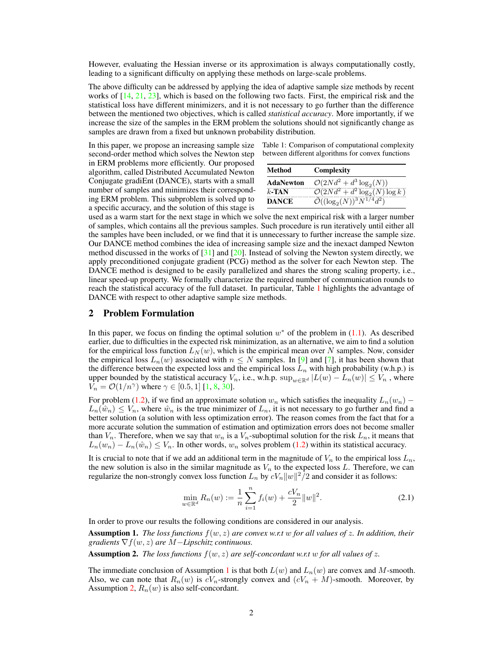However, evaluating the Hessian inverse or its approximation is always computationally costly, leading to a significant difficulty on applying these methods on large-scale problems.

The above difficulty can be addressed by applying the idea of adaptive sample size methods by recent works of [14, 21, 23], which is based on the following two facts. First, the empirical risk and the statistical loss have different minimizers, and it is not necessary to go further than the difference between the mentioned two objectives, which is called *statistical accuracy*. More importantly, if we increase the size of the samples in the ERM problem the solutions should not significantly change as samples are drawn from a fixed but unknown probability distribution.

In this paper, we propose an increasing sample size second-order method which solves the Newton step in ERM problems more efficiently. Our proposed algorithm, called Distributed Accumulated Newton Conjugate gradiEnt (DANCE), starts with a small number of samples and minimizes their corresponding ERM problem. This subproblem is solved up to a specific accuracy, and the solution of this stage is

Table 1: Comparison of computational complexity between different algorithms for convex functions

| Method           | Complexity                                  |
|------------------|---------------------------------------------|
| <b>AdaNewton</b> | $\mathcal{O}(2Nd^2+d^3\log_2(N))$           |
| $k$ -TAN         | $\mathcal{O}(2Nd^2 + d^2 \log_2(N) \log k)$ |
| <b>DANCE</b>     | $\mathcal{O}((\log_2(N))^3 N^{1/4} d^2)$    |

used as a warm start for the next stage in which we solve the next empirical risk with a larger number of samples, which contains all the previous samples. Such procedure is run iteratively until either all the samples have been included, or we find that it is unnecessary to further increase the sample size. Our DANCE method combines the idea of increasing sample size and the inexact damped Newton method discussed in the works of  $[31]$  and  $[20]$ . Instead of solving the Newton system directly, we apply preconditioned conjugate gradient (PCG) method as the solver for each Newton step. The DANCE method is designed to be easily parallelized and shares the strong scaling property, i.e., linear speed-up property. We formally characterize the required number of communication rounds to reach the statistical accuracy of the full dataset. In particular, Table 1 highlights the advantage of DANCE with respect to other adaptive sample size methods.

#### 2 Problem Formulation

In this paper, we focus on finding the optimal solution  $w^*$  of the problem in (1.1). As described earlier, due to difficulties in the expected risk minimization, as an alternative, we aim to find a solution for the empirical loss function  $L_N(w)$ , which is the empirical mean over N samples. Now, consider the empirical loss  $L_n(w)$  associated with  $n \leq N$  samples. In [9] and [7], it has been shown that the difference between the expected loss and the empirical loss  $L_n$  with high probability (w.h.p.) is upper bounded by the statistical accuracy  $V_n$ , i.e., w.h.p.  $\sup_{w \in \mathbb{R}^d} |L(w) - L_n(w)| \leq V_n$ , where  $\bar{V}_n = \mathcal{O}(1/n^{\gamma})$  where  $\gamma \in [0.5, 1]$  [1, 8, 30].

For problem (1.2), if we find an approximate solution  $w_n$  which satisfies the inequality  $L_n(w_n)$  –  $L_n(\hat{w}_n) \leq V_n$ , where  $\hat{w}_n$  is the true minimizer of  $L_n$ , it is not necessary to go further and find a better solution (a solution with less optimization error). The reason comes from the fact that for a more accurate solution the summation of estimation and optimization errors does not become smaller than  $V_n$ . Therefore, when we say that  $w_n$  is a  $V_n$ -suboptimal solution for the risk  $L_n$ , it means that  $L_n(w_n) - L_n(\hat{w}_n) \leq V_n$ . In other words,  $w_n$  solves problem (1.2) within its statistical accuracy.

It is crucial to note that if we add an additional term in the magnitude of  $V_n$  to the empirical loss  $L_n$ , the new solution is also in the similar magnitude as  $V_n$  to the expected loss L. Therefore, we can regularize the non-strongly convex loss function  $L_n$  by  $cV_n||w||^2/2$  and consider it as follows:

$$
\min_{w \in \mathbb{R}^d} R_n(w) := \frac{1}{n} \sum_{i=1}^n f_i(w) + \frac{cV_n}{2} ||w||^2.
$$
\n(2.1)

In order to prove our results the following conditions are considered in our analysis.

Assumption 1. *The loss functions* f(w, z) *are convex w.r.t* w *for all values of* z*. In addition, their gradients* ∇f(w, z) *are* M−*Lipschitz continuous.*

**Assumption 2.** *The loss functions*  $f(w, z)$  *are self-concordant w.r.t* w *for all values of* z.

The immediate conclusion of Assumption 1 is that both  $L(w)$  and  $L_n(w)$  are convex and M-smooth. Also, we can note that  $R_n(w)$  is  $cV_n$ -strongly convex and  $(cV_n + M)$ -smooth. Moreover, by Assumption 2,  $R_n(w)$  is also self-concordant.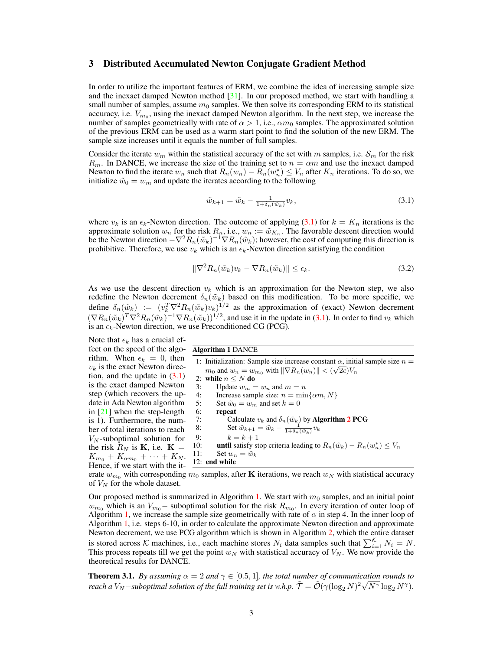#### 3 Distributed Accumulated Newton Conjugate Gradient Method

In order to utilize the important features of ERM, we combine the idea of increasing sample size and the inexact damped Newton method  $[31]$ . In our proposed method, we start with handling a small number of samples, assume  $m_0$  samples. We then solve its corresponding ERM to its statistical accuracy, i.e.  $V_{m_0}$ , using the inexact damped Newton algorithm. In the next step, we increase the number of samples geometrically with rate of  $\alpha > 1$ , i.e.,  $\alpha m_0$  samples. The approximated solution of the previous ERM can be used as a warm start point to find the solution of the new ERM. The sample size increases until it equals the number of full samples.

Consider the iterate  $w_m$  within the statistical accuracy of the set with m samples, i.e.  $S_m$  for the risk  $R_m$ . In DANCE, we increase the size of the training set to  $n = \alpha m$  and use the inexact damped Newton to find the iterate  $w_n$  such that  $R_n(w_n) - R_n(w_n^*) \le V_n$  after  $K_n$  iterations. To do so, we initialize  $\tilde{w}_0 = w_m$  and update the iterates according to the following

$$
\tilde{w}_{k+1} = \tilde{w}_k - \frac{1}{1 + \delta_n(\tilde{w}_k)} v_k,
$$
\n(3.1)

where  $v_k$  is an  $\epsilon_k$ -Newton direction. The outcome of applying (3.1) for  $k = K_n$  iterations is the approximate solution  $w_n$  for the risk  $R_n$ , i.e.,  $w_n := \tilde{w}_{K_n}$ . The favorable descent direction would be the Newton direction  $-\nabla^2 R_n(\tilde{w}_k)^{-1}\nabla R_n(\tilde{w}_k)$ ; however, the cost of computing this direction is prohibitive. Therefore, we use  $v_k$  which is an  $\epsilon_k$ -Newton direction satisfying the condition

$$
\|\nabla^2 R_n(\tilde{w}_k)v_k - \nabla R_n(\tilde{w}_k)\| \le \epsilon_k. \tag{3.2}
$$

As we use the descent direction  $v_k$  which is an approximation for the Newton step, we also redefine the Newton decrement  $\delta_n(\tilde{w}_k)$  based on this modification. To be more specific, we define  $\delta_n(\tilde{w}_k) := (v_k^T \nabla^2 R_n(\tilde{w}_k) v_k)^{1/2}$  as the approximation of (exact) Newton decrement  $(\nabla R_n(\tilde{w}_k)^T \nabla^2 R_n(\tilde{w}_k)^{-1} \nabla R_n(\tilde{w}_k))^{1/2}$ , and use it in the update in (3.1). In order to find  $v_k$  which is an  $\epsilon_k$ -Newton direction, we use Preconditioned CG (PCG).

Note that  $\epsilon_k$  has a crucial effect on the speed of the algorithm. When  $\epsilon_k = 0$ , then  $v_k$  is the exact Newton direction, and the update in  $(3.1)$ is the exact damped Newton step (which recovers the update in Ada Newton algorithm in [21] when the step-length is 1). Furthermore, the number of total iterations to reach  $V_N$ -suboptimal solution for the risk  $R_N$  is **K**, i.e. **K** =  $K_{m_0} + K_{\alpha m_0} + \cdots + K_N$ . Hence, if we start with the it-

#### Algorithm 1 DANCE

1: Initialization: Sample size increase constant  $\alpha$ , initial sample size  $n =$  $m_0$  and  $w_n = w_{m_0}$  with  $\|\nabla R_n(w_n)\| < (\sqrt{2c})V_n$ 2: while  $n \leq N$  do<br>3: Update  $w_m =$ Update  $w_m = w_n$  and  $m = n$ 4: Increase sample size:  $n = \min{\{\alpha m, N\}}$ <br>5: Set  $\tilde{w}_0 = w_m$  and set  $k = 0$ 5: Set  $\tilde{w}_0 = w_m$  and set  $k = 0$ <br>6: **repeat** repeat 7: Calculate  $v_k$  and  $\delta_n(\tilde{w}_k)$  by **Algorithm 2 PCG** 8: Set  $\tilde{w}_{k+1} = \tilde{w}_k - \frac{1}{1 + \delta_n(\tilde{w}_k)} v_k$ 9:  $k = k + 1$ 10: **until** satisfy stop criteria leading to  $R_n(\tilde{w}_k) - R_n(w_n^*) \leq V_n$ 11: Set  $w_n = \tilde{w}_k$ 12: end while

erate  $w_{m_0}$  with corresponding  $m_0$  samples, after K iterations, we reach  $w_N$  with statistical accuracy of  $V_N$  for the whole dataset.

Our proposed method is summarized in Algorithm 1. We start with  $m<sub>0</sub>$  samples, and an initial point  $w_{m_0}$  which is an  $V_{m_0}$  – suboptimal solution for the risk  $R_{m_0}$ . In every iteration of outer loop of Algorithm 1, we increase the sample size geometrically with rate of  $\alpha$  in step 4. In the inner loop of Algorithm 1, i.e. steps 6-10, in order to calculate the approximate Newton direction and approximate Newton decrement, we use PCG algorithm which is shown in Algorithm 2, which the entire dataset is stored across K machines, i.e., each machine stores  $N_i$  data samples such that  $\sum_{i=1}^{K} N_i = N$ . This process repeats till we get the point  $w_N$  with statistical accuracy of  $V_N$ . We now provide the theoretical results for DANCE.

**Theorem 3.1.** *By assuming*  $\alpha = 2$  *and*  $\gamma \in [0.5, 1]$ *, the total number of communication rounds to reach a*  $V_N$  –*suboptimal solution of the full training set is w.h.p.*  $\tilde{\mathcal{T}} = \tilde{\mathcal{O}}(\gamma(\log_2 N)^2 \sqrt{N^{\gamma}} \log_2 N^{\gamma})$ .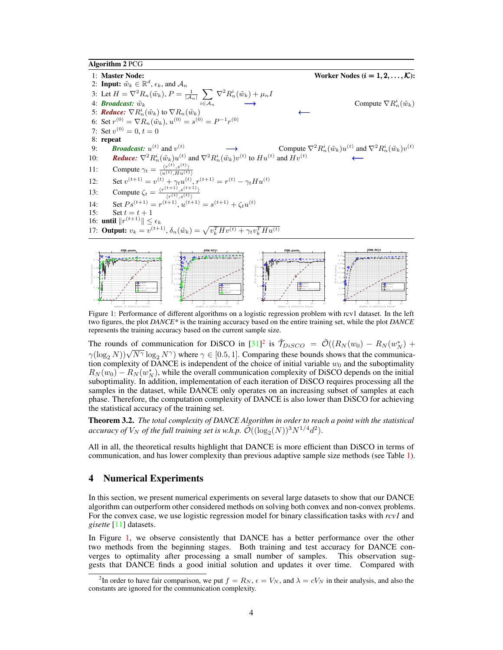Algorithm 2 PCG

1: Master Node: Worker Nodes  $(i = 1, 2, ..., K)$ : 2: **Input:**  $\tilde{w}_k \in \mathbb{R}^d$ ,  $\epsilon_k$ , and  $\mathcal{A}_n$ 3: Let  $H = \nabla^2 R_n(\tilde{w}_k)$ ,  $P = \frac{1}{|A_k|}$  $\frac{1}{|A_n|}$   $\sum$  $i \in \mathcal{A}_n$  $\nabla^2 R_n^i(\tilde{w}_k) + \mu_n I$ 4: *Broadcast:*  $\tilde{w}_k$   $i \in A_n$   $\longrightarrow$  Compute  $\nabla R$  $\stackrel{i}{n}(\tilde{w}_k)$ 5: **Reduce:**  $\nabla R_n^i(\tilde{w}_k)$  to  $\nabla R_n(\tilde{w}_k)$  ←  $($ a) 6: Set  $r_{(0)}^{(0)} = \nabla R_n(\tilde{w}_k), u^{(0)} = s^{(0)} = P^{-1}r^{(0)}$ 7: Set  $v^{(0)} = 0, t = 0$ 8: repeat 9: **Broadcast:**  $u^{(t)}$  and  $v^{(t)}$   $\longrightarrow$  Compute  $\nabla^2 R$ **Broadcast:**  $u^{(t)}$  and  $v^{(t)}$  $\tilde{u}_n^i(\tilde{w}_k)u^{(t)}$  and  $\nabla^2 R_n^i(\tilde{w}_k)v^{(t)}$ 10: **Reduce:**  $\nabla^2 R_n^i(\tilde{w}_k) u^{(t)}$  and  $\nabla^2 R_n^i(\tilde{w}_k) v^{(t)}$  to  $H u^{(t)}$  and  $H v^{(t)}$ 11: Compute  $\gamma_t = \frac{\langle r^{(t)}, s^{(t)} \rangle}{\langle u^{(t)}, H u^{(t)} \rangle}$ 12: Set  $v^{(t+1)} = v^{(t)} + \gamma_t u^{(t)}, r^{(t+1)} = r^{(t)} - \gamma_t H u^{(t)}$ 13: Compute  $\zeta_t = \frac{\langle r^{(t+1)}, s^{(t+1)} \rangle}{\langle r^{(t)}, s^{(t)} \rangle}$  $\langle r^{(t)},s^{(t)}\rangle$ 14: Set  $Ps^{(t+1)} = r^{(t+1)}$ ,  $u^{(t+1)} = s^{(t+1)} + \zeta_t u^{(t)}$ 15: Set  $t = t + 1$ 16: **until**  $||r^{(t+1)}|| \leq \epsilon_k$ 17: **Output:**  $v_k = v^{(t+1)}$ ,  $\delta_n(\tilde{w}_k) = \sqrt{v_k^T H v^{(t)} + \gamma_t v_k^T H u^{(t)}}$ **ERM, gisette ERM, RCV1 ERM, gisette ERM, RCV1**



Figure 1: Performance of different algorithms on a logistic regression problem with rcv1 dataset. In the left two figures, the plot *DANCE\** is the training accuracy based on the entire training set, while the plot *DANCE* represents the training accuracy based on the current sample size.

The rounds of communication for DiSCO in  $[31]^2$  is  $\tilde{\mathcal{T}}_{DisCO} = \tilde{\mathcal{O}}((R_N(w_0) - R_N(w_N^*)) +$  $\gamma(\log_2 N)$ ) $\sqrt{N^{\gamma}} \log_2 N^{\gamma}$ ) where  $\gamma \in [0.5, 1]$ . Comparing these bounds shows that the communication complexity of DANCE is independent of the choice of initial variable  $w_0$  and the suboptimality  $R_N(w_0) - R_N(w_N^*)$ , while the overall communication complexity of DiSCO depends on the initial suboptimality. In addition, implementation of each iteration of DiSCO requires processing all the samples in the dataset, while DANCE only operates on an increasing subset of samples at each phase. Therefore, the computation complexity of DANCE is also lower than DiSCO for achieving the statistical accuracy of the training set.

Theorem 3.2. *The total complexity of DANCE Algorithm in order to reach a point with the statistical accuracy of*  $V_N$  *of the full training set is w.h.p.*  $\tilde{\mathcal{O}}((\log_2(N))^3 N^{1/4} d^2)$ .

All in all, the theoretical results highlight that DANCE is more efficient than DiSCO in terms of communication, and has lower complexity than previous adaptive sample size methods (see Table 1).

#### 4 Numerical Experiments

In this section, we present numerical experiments on several large datasets to show that our DANCE algorithm can outperform other considered methods on solving both convex and non-convex problems. For the convex case, we use logistic regression model for binary classification tasks with *rcv1* and *gisette* [11] datasets.

In Figure 1, we observe consistently that DANCE has a better performance over the other two methods from the beginning stages. Both training and test accuracy for DANCE converges to optimality after processing a small number of samples. This observation suggests that DANCE finds a good initial solution and updates it over time. Compared with

<sup>&</sup>lt;sup>2</sup>In order to have fair comparison, we put  $f = R_N$ ,  $\epsilon = V_N$ , and  $\lambda = cV_N$  in their analysis, and also the constants are ignored for the communication complexity.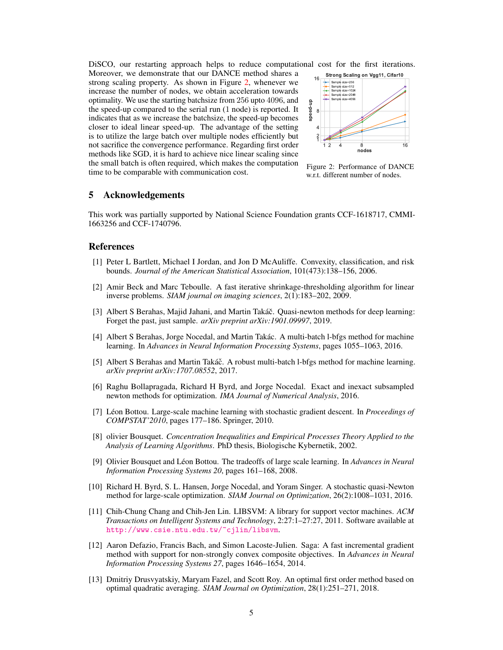DiSCO, our restarting approach helps to reduce computational cost for the first iterations.

Moreover, we demonstrate that our DANCE method shares a strong scaling property. As shown in Figure 2, whenever we increase the number of nodes, we obtain acceleration towards optimality. We use the starting batchsize from 256 upto 4096, and the speed-up compared to the serial run (1 node) is reported. It indicates that as we increase the batchsize, the speed-up becomes closer to ideal linear speed-up. The advantage of the setting is to utilize the large batch over multiple nodes efficiently but not sacrifice the convergence performance. Regarding first order methods like SGD, it is hard to achieve nice linear scaling since the small batch is often required, which makes the computation time to be comparable with communication cost.



Figure 2: Performance of DANCE w.r.t. different number of nodes.

#### 5 Acknowledgements

This work was partially supported by National Science Foundation grants CCF-1618717, CMMI-1663256 and CCF-1740796.

#### References

- [1] Peter L Bartlett, Michael I Jordan, and Jon D McAuliffe. Convexity, classification, and risk bounds. *Journal of the American Statistical Association*, 101(473):138–156, 2006.
- [2] Amir Beck and Marc Teboulle. A fast iterative shrinkage-thresholding algorithm for linear inverse problems. *SIAM journal on imaging sciences*, 2(1):183–202, 2009.
- [3] Albert S Berahas, Majid Jahani, and Martin Takáč. Quasi-newton methods for deep learning: Forget the past, just sample. *arXiv preprint arXiv:1901.09997*, 2019.
- [4] Albert S Berahas, Jorge Nocedal, and Martin Takác. A multi-batch l-bfgs method for machine learning. In *Advances in Neural Information Processing Systems*, pages 1055–1063, 2016.
- [5] Albert S Berahas and Martin Takáč. A robust multi-batch l-bfgs method for machine learning. *arXiv preprint arXiv:1707.08552*, 2017.
- [6] Raghu Bollapragada, Richard H Byrd, and Jorge Nocedal. Exact and inexact subsampled newton methods for optimization. *IMA Journal of Numerical Analysis*, 2016.
- [7] Léon Bottou. Large-scale machine learning with stochastic gradient descent. In *Proceedings of COMPSTAT'2010*, pages 177–186. Springer, 2010.
- [8] olivier Bousquet. *Concentration Inequalities and Empirical Processes Theory Applied to the Analysis of Learning Algorithms*. PhD thesis, Biologische Kybernetik, 2002.
- [9] Olivier Bousquet and Léon Bottou. The tradeoffs of large scale learning. In *Advances in Neural Information Processing Systems 20*, pages 161–168, 2008.
- [10] Richard H. Byrd, S. L. Hansen, Jorge Nocedal, and Yoram Singer. A stochastic quasi-Newton method for large-scale optimization. *SIAM Journal on Optimization*, 26(2):1008–1031, 2016.
- [11] Chih-Chung Chang and Chih-Jen Lin. LIBSVM: A library for support vector machines. *ACM Transactions on Intelligent Systems and Technology*, 2:27:1–27:27, 2011. Software available at http://www.csie.ntu.edu.tw/~cjlin/libsvm.
- [12] Aaron Defazio, Francis Bach, and Simon Lacoste-Julien. Saga: A fast incremental gradient method with support for non-strongly convex composite objectives. In *Advances in Neural Information Processing Systems 27*, pages 1646–1654, 2014.
- [13] Dmitriy Drusvyatskiy, Maryam Fazel, and Scott Roy. An optimal first order method based on optimal quadratic averaging. *SIAM Journal on Optimization*, 28(1):251–271, 2018.